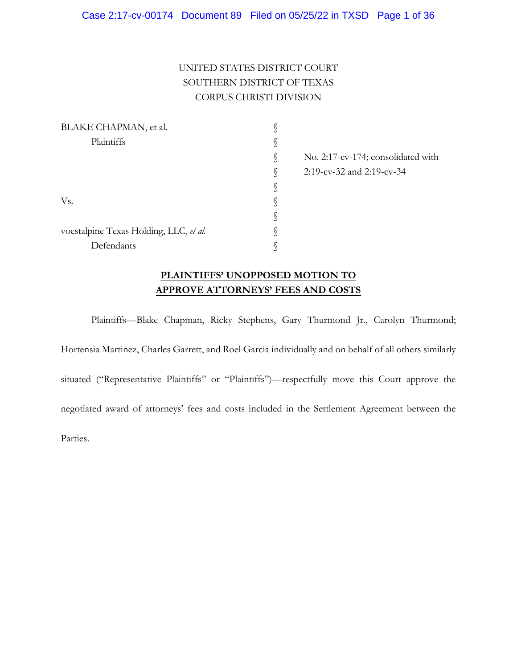# UNITED STATES DISTRICT COURT SOUTHERN DISTRICT OF TEXAS CORPUS CHRISTI DIVISION

| BLAKE CHAPMAN, et al.                  |              |                                    |
|----------------------------------------|--------------|------------------------------------|
| Plaintiffs                             | S            |                                    |
|                                        | $\mathbb{S}$ | No. 2:17-cv-174; consolidated with |
|                                        | S            | 2:19-cv-32 and 2:19-cv-34          |
|                                        | S            |                                    |
| Vs.                                    | ∥            |                                    |
|                                        | P            |                                    |
| voestalpine Texas Holding, LLC, et al. |              |                                    |
| Defendants                             |              |                                    |

# **PLAINTIFFS' UNOPPOSED MOTION TO APPROVE ATTORNEYS' FEES AND COSTS**

Plaintiffs—Blake Chapman, Ricky Stephens, Gary Thurmond Jr., Carolyn Thurmond; Hortensia Martinez, Charles Garrett, and Roel Garcia individually and on behalf of all others similarly situated ("Representative Plaintiffs" or "Plaintiffs")—respectfully move this Court approve the negotiated award of attorneys' fees and costs included in the Settlement Agreement between the Parties.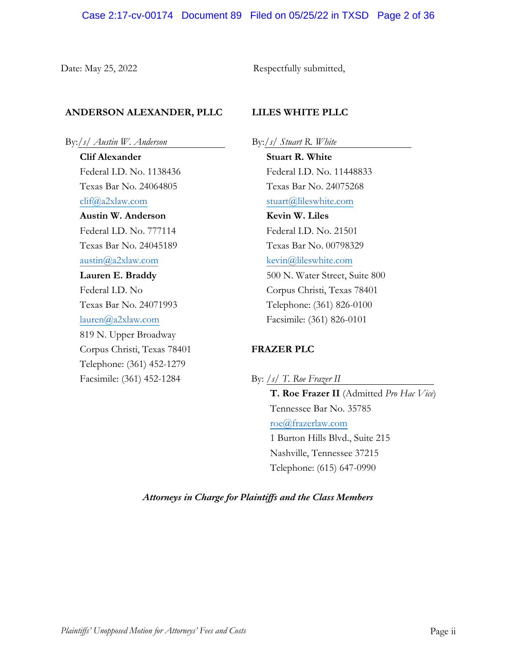Date: May 25, 2022 Respectfully submitted,

## **ANDERSON ALEXANDER, PLLC**

By:/*s/ Austin W. Anderson* .

**Clif Alexander** Federal I.D. No. 1138436 Texas Bar No. 24064805 clif@a2xlaw.com **Austin W. Anderson**  Federal I.D. No. 777114 Texas Bar No. 24045189 austin@a2xlaw.com **Lauren E. Braddy** Federal I.D. No Texas Bar No. 24071993 lauren@a2xlaw.com 819 N. Upper Broadway Corpus Christi, Texas 78401 Telephone: (361) 452-1279 Facsimile: (361) 452-1284

## **LILES WHITE PLLC**

By:/*s/ Stuart R. White*

**Stuart R. White** Federal I.D. No. 11448833 Texas Bar No. 24075268 stuart@lileswhite.com **Kevin W. Liles** Federal I.D. No. 21501 Texas Bar No. 00798329 kevin@lileswhite.com 500 N. Water Street, Suite 800 Corpus Christi, Texas 78401 Telephone: (361) 826-0100 Facsimile: (361) 826-0101

## **FRAZER PLC**

By: */s/ T. Roe Frazer II* **T. Roe Frazer II** (Admitted *Pro Hac Vice*) Tennessee Bar No. 35785 roe@frazerlaw.com 1 Burton Hills Blvd., Suite 215 Nashville, Tennessee 37215 Telephone: (615) 647-0990

*Attorneys in Charge for Plaintiffs and the Class Members*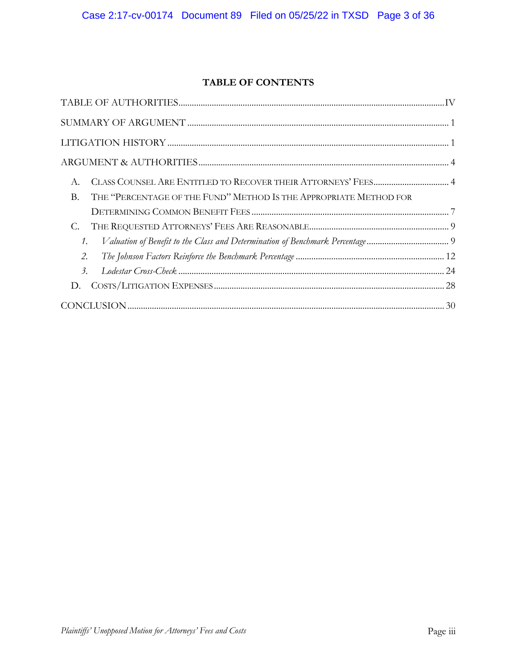# **TABLE OF CONTENTS**

| A.                                                                                  |  |
|-------------------------------------------------------------------------------------|--|
| THE "PERCENTAGE OF THE FUND" METHOD IS THE APPROPRIATE METHOD FOR<br><b>B.</b>      |  |
|                                                                                     |  |
| С.                                                                                  |  |
| Valuation of Benefit to the Class and Determination of Benchmark Percentage 9<br>1. |  |
| 2.                                                                                  |  |
| $\overline{\mathcal{L}}$                                                            |  |
| D.                                                                                  |  |
|                                                                                     |  |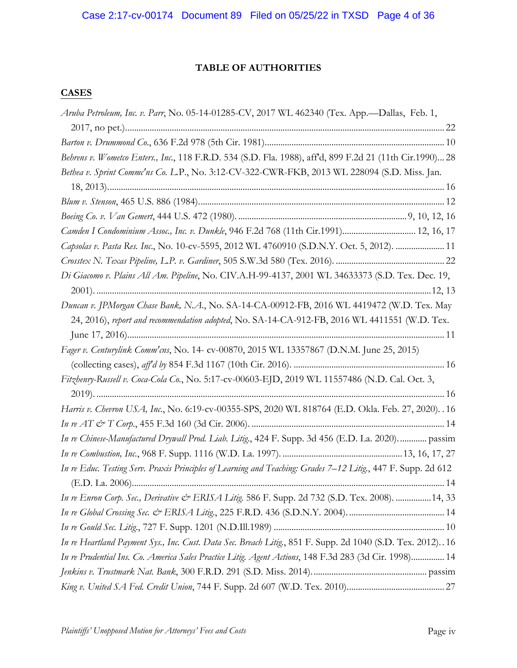## **TABLE OF AUTHORITIES**

## **CASES**

| Aruba Petroleum, Inc. v. Parr, No. 05-14-01285-CV, 2017 WL 462340 (Tex. App.-Dallas, Feb. 1,                  |
|---------------------------------------------------------------------------------------------------------------|
|                                                                                                               |
|                                                                                                               |
| Behrens v. Wometco Enters., Inc., 118 F.R.D. 534 (S.D. Fla. 1988), aff'd, 899 F.2d 21 (11th Cir.1990) 28      |
| Bethea v. Sprint Commc'ns Co. L.P., No. 3:12-CV-322-CWR-FKB, 2013 WL 228094 (S.D. Miss. Jan.                  |
|                                                                                                               |
|                                                                                                               |
|                                                                                                               |
| Camden I Condominium Assoc., Inc. v. Dunkle, 946 F.2d 768 (11th Cir.1991) 12, 16, 17                          |
| Capsolas v. Pasta Res. Inc., No. 10-cv-5595, 2012 WL 4760910 (S.D.N.Y. Oct. 5, 2012).  11                     |
|                                                                                                               |
| Di Giacomo v. Plains All Am. Pipeline, No. CIV.A.H-99-4137, 2001 WL 34633373 (S.D. Tex. Dec. 19,              |
|                                                                                                               |
| Duncan v. JPMorgan Chase Bank, N.A., No. SA-14-CA-00912-FB, 2016 WL 4419472 (W.D. Tex. May                    |
| 24, 2016), report and recommendation adopted, No. SA-14-CA-912-FB, 2016 WL 4411551 (W.D. Tex.                 |
|                                                                                                               |
| Fager v. Centurylink Comm'cns, No. 14- cv-00870, 2015 WL 13357867 (D.N.M. June 25, 2015)                      |
|                                                                                                               |
| Fitzbenry-Russell v. Coca-Cola Co., No. 5:17-cv-00603-EJD, 2019 WL 11557486 (N.D. Cal. Oct. 3,                |
|                                                                                                               |
| Harris v. Chevron USA, Inc., No. 6:19-cv-00355-SPS, 2020 WL 818764 (E.D. Okla. Feb. 27, 2020). . 16           |
|                                                                                                               |
| In re Chinese-Manufactured Drywall Prod. Liab. Litig., 424 F. Supp. 3d 456 (E.D. La. 2020).  passim           |
|                                                                                                               |
| In re Educ. Testing Serv. Praxis Principles of Learning and Teaching: Grades 7-12 Litig., 447 F. Supp. 2d 612 |
|                                                                                                               |
| In re Enron Corp. Sec., Derivative & ERISA Litig. 586 F. Supp. 2d 732 (S.D. Tex. 2008).  14, 33               |
|                                                                                                               |
|                                                                                                               |
| In re Heartland Payment Sys., Inc. Cust. Data Sec. Breach Litig., 851 F. Supp. 2d 1040 (S.D. Tex. 2012). 16   |
| In re Prudential Ins. Co. America Sales Practice Litig. Agent Actions, 148 F.3d 283 (3d Cir. 1998) 14         |
|                                                                                                               |
|                                                                                                               |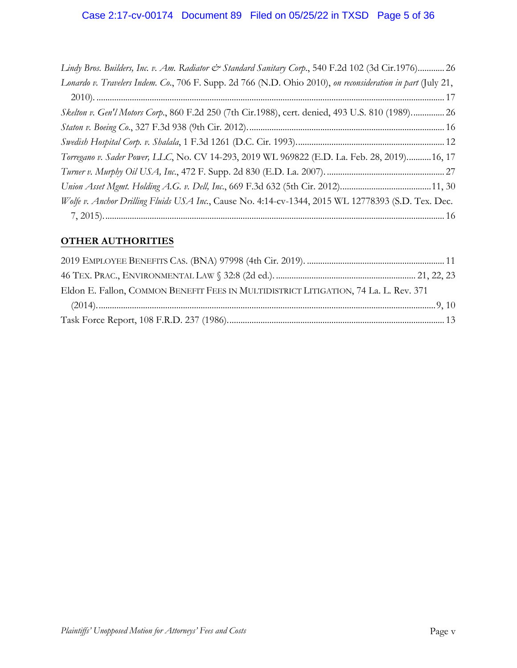| Lindy Bros. Builders, Inc. v. Am. Radiator & Standard Sanitary Corp., 540 F.2d 102 (3d Cir.1976) 26         |  |
|-------------------------------------------------------------------------------------------------------------|--|
| Lonardo v. Travelers Indem. Co., 706 F. Supp. 2d 766 (N.D. Ohio 2010), on reconsideration in part (July 21, |  |
|                                                                                                             |  |
| Skelton v. Gen'l Motors Corp., 860 F.2d 250 (7th Cir.1988), cert. denied, 493 U.S. 810 (1989) 26            |  |
|                                                                                                             |  |
|                                                                                                             |  |
| Torregano v. Sader Power, LLC, No. CV 14-293, 2019 WL 969822 (E.D. La. Feb. 28, 2019) 16, 17                |  |
|                                                                                                             |  |
|                                                                                                             |  |
| Wolfe v. Anchor Drilling Fluids USA Inc., Cause No. 4:14-cv-1344, 2015 WL 12778393 (S.D. Tex. Dec.          |  |
|                                                                                                             |  |

# **OTHER AUTHORITIES**

| Eldon E. Fallon, COMMON BENEFIT FEES IN MULTIDISTRICT LITIGATION, 74 La. L. Rev. 371 |  |
|--------------------------------------------------------------------------------------|--|
|                                                                                      |  |
|                                                                                      |  |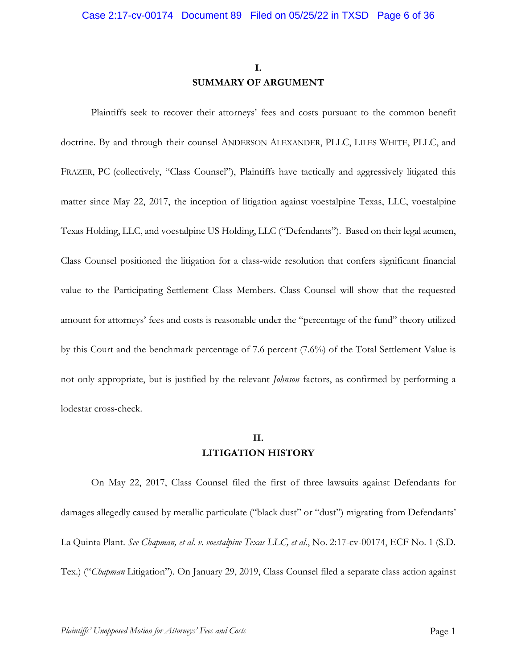# **I. SUMMARY OF ARGUMENT**

Plaintiffs seek to recover their attorneys' fees and costs pursuant to the common benefit doctrine. By and through their counsel ANDERSON ALEXANDER, PLLC, LILES WHITE, PLLC, and FRAZER, PC (collectively, "Class Counsel"), Plaintiffs have tactically and aggressively litigated this matter since May 22, 2017, the inception of litigation against voestalpine Texas, LLC, voestalpine Texas Holding, LLC, and voestalpine US Holding, LLC ("Defendants"). Based on their legal acumen, Class Counsel positioned the litigation for a class-wide resolution that confers significant financial value to the Participating Settlement Class Members. Class Counsel will show that the requested amount for attorneys' fees and costs is reasonable under the "percentage of the fund" theory utilized by this Court and the benchmark percentage of 7.6 percent (7.6%) of the Total Settlement Value is not only appropriate, but is justified by the relevant *Johnson* factors, as confirmed by performing a lodestar cross-check.

## **II. LITIGATION HISTORY**

On May 22, 2017, Class Counsel filed the first of three lawsuits against Defendants for damages allegedly caused by metallic particulate ("black dust" or "dust") migrating from Defendants' La Quinta Plant. *See Chapman, et al. v. voestalpine Texas LLC, et al.*, No. 2:17-cv-00174, ECF No. 1 (S.D. Tex.) ("*Chapman* Litigation"). On January 29, 2019, Class Counsel filed a separate class action against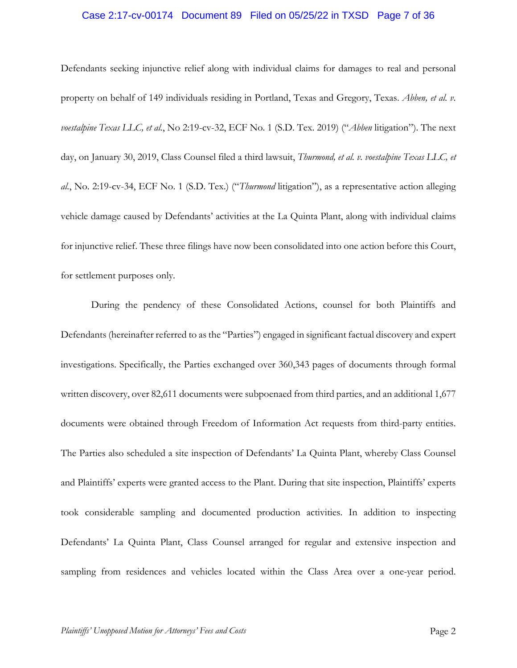## Case 2:17-cv-00174 Document 89 Filed on 05/25/22 in TXSD Page 7 of 36

Defendants seeking injunctive relief along with individual claims for damages to real and personal property on behalf of 149 individuals residing in Portland, Texas and Gregory, Texas. *Abben, et al. v. voestalpine Texas LLC, et al.*, No 2:19-cv-32, ECF No. 1 (S.D. Tex. 2019) ("*Abben* litigation"). The next day, on January 30, 2019, Class Counsel filed a third lawsuit, *Thurmond, et al. v. voestalpine Texas LLC, et al.*, No. 2:19-cv-34, ECF No. 1 (S.D. Tex.) ("*Thurmond* litigation"), as a representative action alleging vehicle damage caused by Defendants' activities at the La Quinta Plant, along with individual claims for injunctive relief. These three filings have now been consolidated into one action before this Court, for settlement purposes only.

During the pendency of these Consolidated Actions, counsel for both Plaintiffs and Defendants (hereinafter referred to as the "Parties") engaged in significant factual discovery and expert investigations. Specifically, the Parties exchanged over 360,343 pages of documents through formal written discovery, over 82,611 documents were subpoenaed from third parties, and an additional 1,677 documents were obtained through Freedom of Information Act requests from third-party entities. The Parties also scheduled a site inspection of Defendants' La Quinta Plant, whereby Class Counsel and Plaintiffs' experts were granted access to the Plant. During that site inspection, Plaintiffs' experts took considerable sampling and documented production activities. In addition to inspecting Defendants' La Quinta Plant, Class Counsel arranged for regular and extensive inspection and sampling from residences and vehicles located within the Class Area over a one-year period.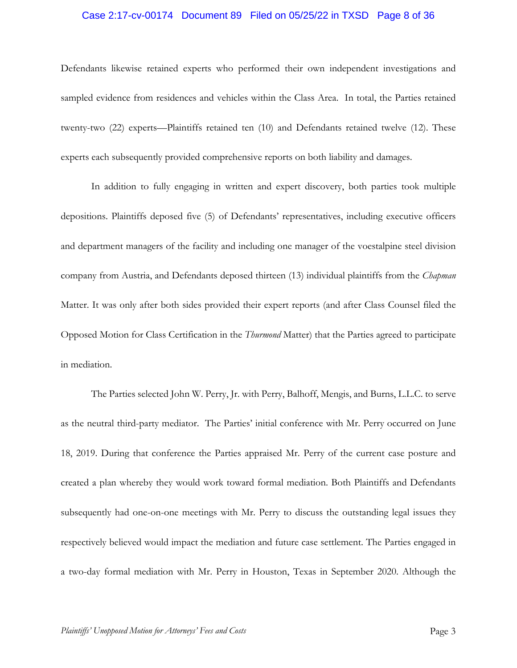## Case 2:17-cv-00174 Document 89 Filed on 05/25/22 in TXSD Page 8 of 36

Defendants likewise retained experts who performed their own independent investigations and sampled evidence from residences and vehicles within the Class Area. In total, the Parties retained twenty-two (22) experts—Plaintiffs retained ten (10) and Defendants retained twelve (12). These experts each subsequently provided comprehensive reports on both liability and damages.

In addition to fully engaging in written and expert discovery, both parties took multiple depositions. Plaintiffs deposed five (5) of Defendants' representatives, including executive officers and department managers of the facility and including one manager of the voestalpine steel division company from Austria, and Defendants deposed thirteen (13) individual plaintiffs from the *Chapman*  Matter. It was only after both sides provided their expert reports (and after Class Counsel filed the Opposed Motion for Class Certification in the *Thurmond* Matter) that the Parties agreed to participate in mediation.

The Parties selected John W. Perry, Jr. with Perry, Balhoff, Mengis, and Burns, L.L.C. to serve as the neutral third-party mediator. The Parties' initial conference with Mr. Perry occurred on June 18, 2019. During that conference the Parties appraised Mr. Perry of the current case posture and created a plan whereby they would work toward formal mediation. Both Plaintiffs and Defendants subsequently had one-on-one meetings with Mr. Perry to discuss the outstanding legal issues they respectively believed would impact the mediation and future case settlement. The Parties engaged in a two-day formal mediation with Mr. Perry in Houston, Texas in September 2020. Although the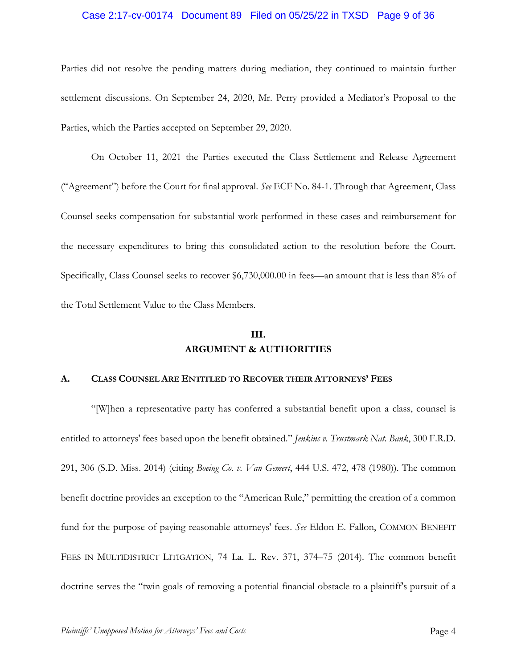## Case 2:17-cv-00174 Document 89 Filed on 05/25/22 in TXSD Page 9 of 36

Parties did not resolve the pending matters during mediation, they continued to maintain further settlement discussions. On September 24, 2020, Mr. Perry provided a Mediator's Proposal to the Parties, which the Parties accepted on September 29, 2020.

On October 11, 2021 the Parties executed the Class Settlement and Release Agreement ("Agreement") before the Court for final approval. *See* ECF No. 84-1. Through that Agreement, Class Counsel seeks compensation for substantial work performed in these cases and reimbursement for the necessary expenditures to bring this consolidated action to the resolution before the Court. Specifically, Class Counsel seeks to recover \$6,730,000.00 in fees—an amount that is less than 8% of the Total Settlement Value to the Class Members.

# **III. ARGUMENT & AUTHORITIES**

### **A. CLASS COUNSEL ARE ENTITLED TO RECOVER THEIR ATTORNEYS' FEES**

"[W]hen a representative party has conferred a substantial benefit upon a class, counsel is entitled to attorneys' fees based upon the benefit obtained." *Jenkins v. Trustmark Nat. Bank*, 300 F.R.D. 291, 306 (S.D. Miss. 2014) (citing *Boeing Co. v. Van Gemert*, 444 U.S. 472, 478 (1980)). The common benefit doctrine provides an exception to the "American Rule," permitting the creation of a common fund for the purpose of paying reasonable attorneys' fees. *See* Eldon E. Fallon, COMMON BENEFIT FEES IN MULTIDISTRICT LITIGATION, 74 La. L. Rev. 371, 374–75 (2014). The common benefit doctrine serves the "twin goals of removing a potential financial obstacle to a plaintiff's pursuit of a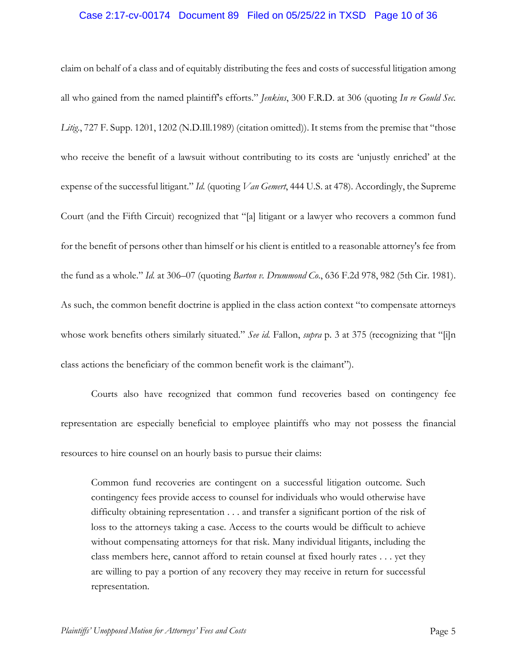## Case 2:17-cv-00174 Document 89 Filed on 05/25/22 in TXSD Page 10 of 36

claim on behalf of a class and of equitably distributing the fees and costs of successful litigation among all who gained from the named plaintiff's efforts." *Jenkins*, 300 F.R.D. at 306 (quoting *In re Gould Sec.*  Litig<sub>1</sub>, 727 F. Supp. 1201, 1202 (N.D.Ill.1989) (citation omitted)). It stems from the premise that "those who receive the benefit of a lawsuit without contributing to its costs are 'unjustly enriched' at the expense of the successful litigant." *Id.* (quoting *Van Gemert*, 444 U.S. at 478). Accordingly, the Supreme Court (and the Fifth Circuit) recognized that "[a] litigant or a lawyer who recovers a common fund for the benefit of persons other than himself or his client is entitled to a reasonable attorney's fee from the fund as a whole." *Id.* at 306–07 (quoting *Barton v. Drummond Co*., 636 F.2d 978, 982 (5th Cir. 1981). As such, the common benefit doctrine is applied in the class action context "to compensate attorneys whose work benefits others similarly situated." *See id.* Fallon, *supra* p. 3 at 375 (recognizing that "[i]n class actions the beneficiary of the common benefit work is the claimant").

Courts also have recognized that common fund recoveries based on contingency fee representation are especially beneficial to employee plaintiffs who may not possess the financial resources to hire counsel on an hourly basis to pursue their claims:

Common fund recoveries are contingent on a successful litigation outcome. Such contingency fees provide access to counsel for individuals who would otherwise have difficulty obtaining representation . . . and transfer a significant portion of the risk of loss to the attorneys taking a case. Access to the courts would be difficult to achieve without compensating attorneys for that risk. Many individual litigants, including the class members here, cannot afford to retain counsel at fixed hourly rates . . . yet they are willing to pay a portion of any recovery they may receive in return for successful representation.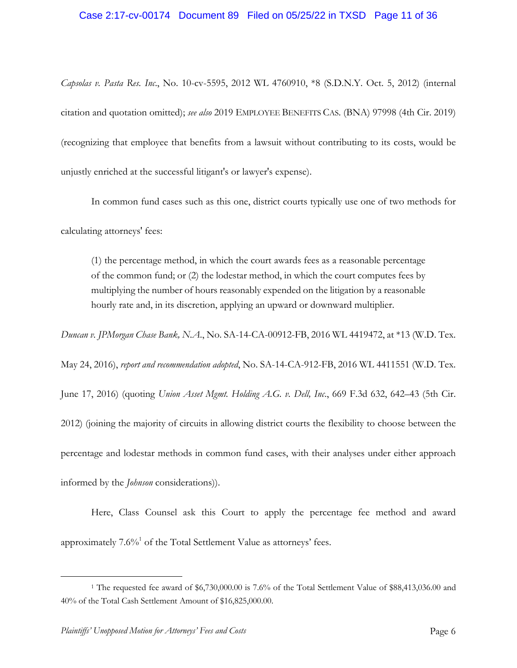## Case 2:17-cv-00174 Document 89 Filed on 05/25/22 in TXSD Page 11 of 36

*Capsolas v. Pasta Res. Inc*., No. 10-cv-5595, 2012 WL 4760910, \*8 (S.D.N.Y. Oct. 5, 2012) (internal citation and quotation omitted); *see also* 2019 EMPLOYEE BENEFITS CAS. (BNA) 97998 (4th Cir. 2019) (recognizing that employee that benefits from a lawsuit without contributing to its costs, would be unjustly enriched at the successful litigant's or lawyer's expense).

In common fund cases such as this one, district courts typically use one of two methods for calculating attorneys' fees:

(1) the percentage method, in which the court awards fees as a reasonable percentage of the common fund; or (2) the lodestar method, in which the court computes fees by multiplying the number of hours reasonably expended on the litigation by a reasonable hourly rate and, in its discretion, applying an upward or downward multiplier.

*Duncan v. JPMorgan Chase Bank, N.A*., No. SA-14-CA-00912-FB, 2016 WL 4419472, at \*13 (W.D. Tex.

May 24, 2016), *report and recommendation adopted*, No. SA-14-CA-912-FB, 2016 WL 4411551 (W.D. Tex.

June 17, 2016) (quoting *Union Asset Mgmt. Holding A.G. v. Dell, Inc*., 669 F.3d 632, 642–43 (5th Cir. 2012) (joining the majority of circuits in allowing district courts the flexibility to choose between the percentage and lodestar methods in common fund cases, with their analyses under either approach informed by the *Johnson* considerations)).

Here, Class Counsel ask this Court to apply the percentage fee method and award approximately  $7.6\%$ <sup>1</sup> of the Total Settlement Value as attorneys' fees.

<sup>1</sup> The requested fee award of \$6,730,000.00 is 7.6% of the Total Settlement Value of \$88,413,036.00 and 40% of the Total Cash Settlement Amount of \$16,825,000.00.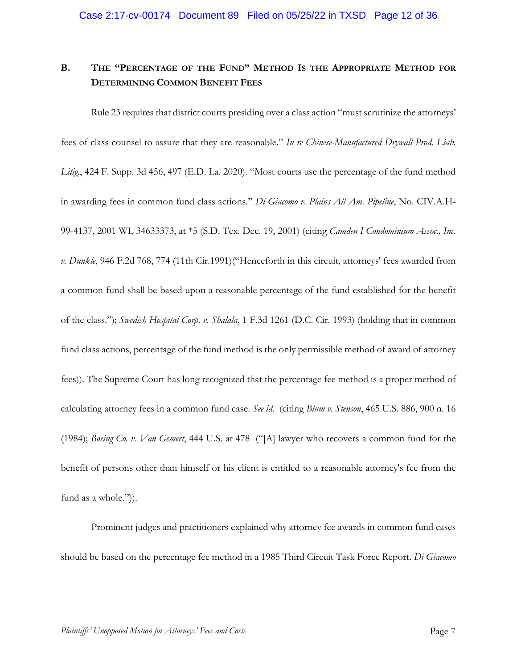# **B. THE "PERCENTAGE OF THE FUND" METHOD IS THE APPROPRIATE METHOD FOR DETERMINING COMMON BENEFIT FEES**

Rule 23 requires that district courts presiding over a class action "must scrutinize the attorneys' fees of class counsel to assure that they are reasonable." *In re Chinese-Manufactured Drywall Prod. Liab. Litig*., 424 F. Supp. 3d 456, 497 (E.D. La. 2020). "Most courts use the percentage of the fund method in awarding fees in common fund class actions." *Di Giacomo v. Plains All Am. Pipeline*, No. CIV.A.H-99-4137, 2001 WL 34633373, at \*5 (S.D. Tex. Dec. 19, 2001) (citing *Camden I Condominium Assoc., Inc. v. Dunkle*, 946 F.2d 768, 774 (11th Cir.1991)("Henceforth in this circuit, attorneys' fees awarded from a common fund shall be based upon a reasonable percentage of the fund established for the benefit of the class."); *Swedish Hospital Corp. v. Shalala*, 1 F.3d 1261 (D.C. Cir. 1993) (holding that in common fund class actions, percentage of the fund method is the only permissible method of award of attorney fees)). The Supreme Court has long recognized that the percentage fee method is a proper method of calculating attorney fees in a common fund case. *See id.* (citing *Blum v. Stenson*, 465 U.S. 886, 900 n. 16 (1984); *Boeing Co. v. Van Gemert*, 444 U.S. at 478 ("[A] lawyer who recovers a common fund for the benefit of persons other than himself or his client is entitled to a reasonable attorney's fee from the fund as a whole.")).

Prominent judges and practitioners explained why attorney fee awards in common fund cases should be based on the percentage fee method in a 1985 Third Circuit Task Force Report. *Di Giacomo*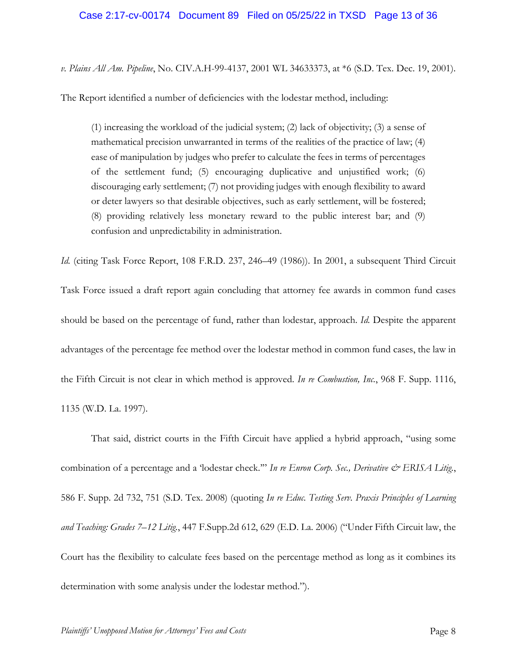## Case 2:17-cv-00174 Document 89 Filed on 05/25/22 in TXSD Page 13 of 36

*v. Plains All Am. Pipeline*, No. CIV.A.H-99-4137, 2001 WL 34633373, at \*6 (S.D. Tex. Dec. 19, 2001).

The Report identified a number of deficiencies with the lodestar method, including:

(1) increasing the workload of the judicial system; (2) lack of objectivity; (3) a sense of mathematical precision unwarranted in terms of the realities of the practice of law; (4) ease of manipulation by judges who prefer to calculate the fees in terms of percentages of the settlement fund; (5) encouraging duplicative and unjustified work; (6) discouraging early settlement; (7) not providing judges with enough flexibility to award or deter lawyers so that desirable objectives, such as early settlement, will be fostered; (8) providing relatively less monetary reward to the public interest bar; and (9) confusion and unpredictability in administration.

*Id.* (citing Task Force Report, 108 F.R.D. 237, 246–49 (1986)). In 2001, a subsequent Third Circuit Task Force issued a draft report again concluding that attorney fee awards in common fund cases should be based on the percentage of fund, rather than lodestar, approach. *Id.* Despite the apparent advantages of the percentage fee method over the lodestar method in common fund cases, the law in the Fifth Circuit is not clear in which method is approved. *In re Combustion, Inc.*, 968 F. Supp. 1116, 1135 (W.D. La. 1997).

That said, district courts in the Fifth Circuit have applied a hybrid approach, "using some combination of a percentage and a 'lodestar check."" In re Enron Corp. Sec., Derivative & ERISA Litig., 586 F. Supp. 2d 732, 751 (S.D. Tex. 2008) (quoting *In re Educ. Testing Serv. Praxis Principles of Learning and Teaching: Grades 7–12 Litig.*, 447 F.Supp.2d 612, 629 (E.D. La. 2006) ("Under Fifth Circuit law, the Court has the flexibility to calculate fees based on the percentage method as long as it combines its determination with some analysis under the lodestar method.").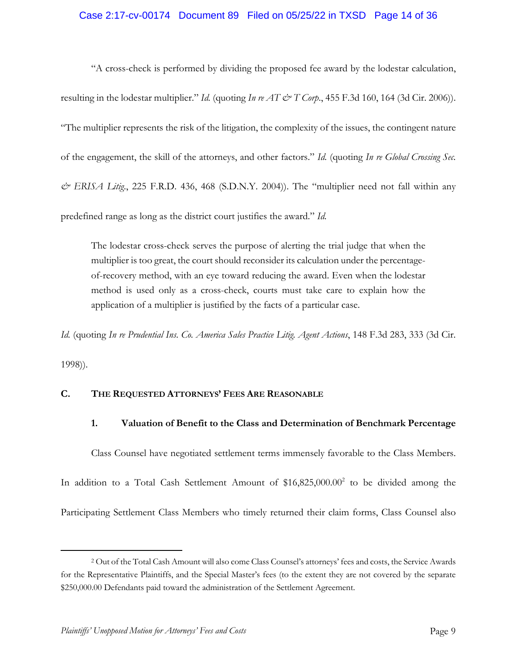## Case 2:17-cv-00174 Document 89 Filed on 05/25/22 in TXSD Page 14 of 36

"A cross-check is performed by dividing the proposed fee award by the lodestar calculation, resulting in the lodestar multiplier." *Id.* (quoting *In re AT & T Corp.*, 455 F.3d 160, 164 (3d Cir. 2006)). "The multiplier represents the risk of the litigation, the complexity of the issues, the contingent nature of the engagement, the skill of the attorneys, and other factors." *Id.* (quoting *In re Global Crossing Sec. & ERISA Litig*., 225 F.R.D. 436, 468 (S.D.N.Y. 2004)). The "multiplier need not fall within any predefined range as long as the district court justifies the award." *Id.* 

The lodestar cross-check serves the purpose of alerting the trial judge that when the multiplier is too great, the court should reconsider its calculation under the percentageof-recovery method, with an eye toward reducing the award. Even when the lodestar method is used only as a cross-check, courts must take care to explain how the application of a multiplier is justified by the facts of a particular case.

*Id.* (quoting *In re Prudential Ins. Co. America Sales Practice Litig. Agent Actions*, 148 F.3d 283, 333 (3d Cir.

1998)).

## **C. THE REQUESTED ATTORNEYS' FEES ARE REASONABLE**

## **1. Valuation of Benefit to the Class and Determination of Benchmark Percentage**

Class Counsel have negotiated settlement terms immensely favorable to the Class Members. In addition to a Total Cash Settlement Amount of  $$16,825,000.00^2$  to be divided among the Participating Settlement Class Members who timely returned their claim forms, Class Counsel also

<sup>2</sup> Out of the Total Cash Amount will also come Class Counsel's attorneys' fees and costs, the Service Awards for the Representative Plaintiffs, and the Special Master's fees (to the extent they are not covered by the separate \$250,000.00 Defendants paid toward the administration of the Settlement Agreement.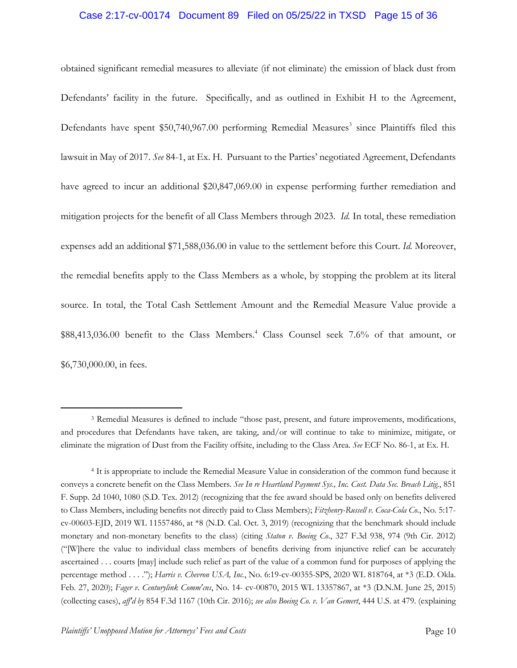## Case 2:17-cv-00174 Document 89 Filed on 05/25/22 in TXSD Page 15 of 36

obtained significant remedial measures to alleviate (if not eliminate) the emission of black dust from Defendants' facility in the future. Specifically, and as outlined in Exhibit H to the Agreement, Defendants have spent  $$50,740,967.00$  performing Remedial Measures<sup>3</sup> since Plaintiffs filed this lawsuit in May of 2017. *See* 84-1, at Ex. H. Pursuant to the Parties' negotiated Agreement, Defendants have agreed to incur an additional \$20,847,069.00 in expense performing further remediation and mitigation projects for the benefit of all Class Members through 2023. *Id.* In total, these remediation expenses add an additional \$71,588,036.00 in value to the settlement before this Court. *Id.* Moreover, the remedial benefits apply to the Class Members as a whole, by stopping the problem at its literal source. In total, the Total Cash Settlement Amount and the Remedial Measure Value provide a \$88,413,036.00 benefit to the Class Members.<sup>4</sup> Class Counsel seek 7.6% of that amount, or \$6,730,000.00, in fees.

<sup>3</sup> Remedial Measures is defined to include "those past, present, and future improvements, modifications, and procedures that Defendants have taken, are taking, and/or will continue to take to minimize, mitigate, or eliminate the migration of Dust from the Facility offsite, including to the Class Area. *See* ECF No. 86-1, at Ex. H.

<sup>4</sup> It is appropriate to include the Remedial Measure Value in consideration of the common fund because it conveys a concrete benefit on the Class Members. *See In re Heartland Payment Sys., Inc. Cust. Data Sec. Breach Litig.*, 851 F. Supp. 2d 1040, 1080 (S.D. Tex. 2012) (recognizing that the fee award should be based only on benefits delivered to Class Members, including benefits not directly paid to Class Members); *Fitzhenry-Russell v. Coca-Cola Co.*, No. 5:17 cv-00603-EJD, 2019 WL 11557486, at \*8 (N.D. Cal. Oct. 3, 2019) (recognizing that the benchmark should include monetary and non-monetary benefits to the class) (citing *Staton v. Boeing Co*., 327 F.3d 938, 974 (9th Cir. 2012) ("[W]here the value to individual class members of benefits deriving from injunctive relief can be accurately ascertained . . . courts [may] include such relief as part of the value of a common fund for purposes of applying the percentage method . . . ."); *Harris v. Chevron USA, Inc.*, No. 6:19-cv-00355-SPS, 2020 WL 818764, at \*3 (E.D. Okla. Feb. 27, 2020); *Fager v. Centurylink Comm'cns*, No. 14- cv-00870, 2015 WL 13357867, at \*3 (D.N.M. June 25, 2015) (collecting cases), *aff'd by* 854 F.3d 1167 (10th Cir. 2016); *see also Boeing Co. v. Van Gemert*, 444 U.S. at 479. (explaining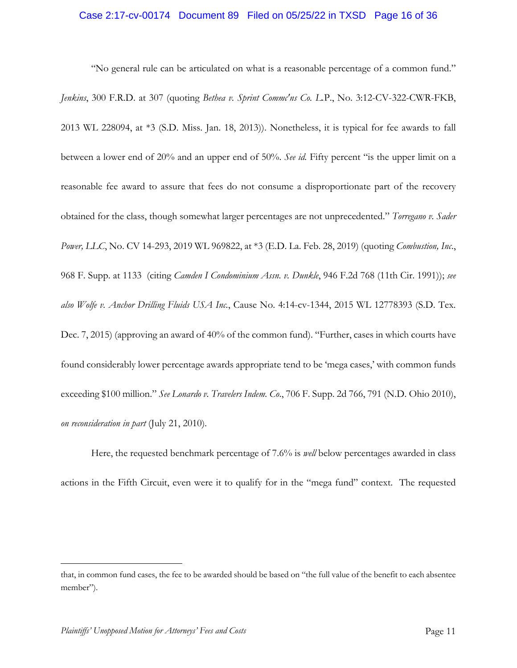## Case 2:17-cv-00174 Document 89 Filed on 05/25/22 in TXSD Page 16 of 36

"No general rule can be articulated on what is a reasonable percentage of a common fund." *Jenkins*, 300 F.R.D. at 307 (quoting *Bethea v. Sprint Commc'ns Co. L.*P., No. 3:12-CV-322-CWR-FKB, 2013 WL 228094, at \*3 (S.D. Miss. Jan. 18, 2013)). Nonetheless, it is typical for fee awards to fall between a lower end of 20% and an upper end of 50%. *See id.* Fifty percent "is the upper limit on a reasonable fee award to assure that fees do not consume a disproportionate part of the recovery obtained for the class, though somewhat larger percentages are not unprecedented." *Torregano v. Sader Power, LLC*, No. CV 14-293, 2019 WL 969822, at \*3 (E.D. La. Feb. 28, 2019) (quoting *Combustion, Inc*., 968 F. Supp. at 1133 (citing *Camden I Condominium Assn. v. Dunkle*, 946 F.2d 768 (11th Cir. 1991)); *see also Wolfe v. Anchor Drilling Fluids USA Inc.*, Cause No. 4:14-cv-1344, 2015 WL 12778393 (S.D. Tex. Dec. 7, 2015) (approving an award of 40% of the common fund). "Further, cases in which courts have found considerably lower percentage awards appropriate tend to be 'mega cases,' with common funds exceeding \$100 million." *See Lonardo v. Travelers Indem. Co*., 706 F. Supp. 2d 766, 791 (N.D. Ohio 2010), *on reconsideration in part* (July 21, 2010)*.*

Here, the requested benchmark percentage of 7.6% is *well* below percentages awarded in class actions in the Fifth Circuit, even were it to qualify for in the "mega fund" context. The requested

that, in common fund cases, the fee to be awarded should be based on "the full value of the benefit to each absentee member").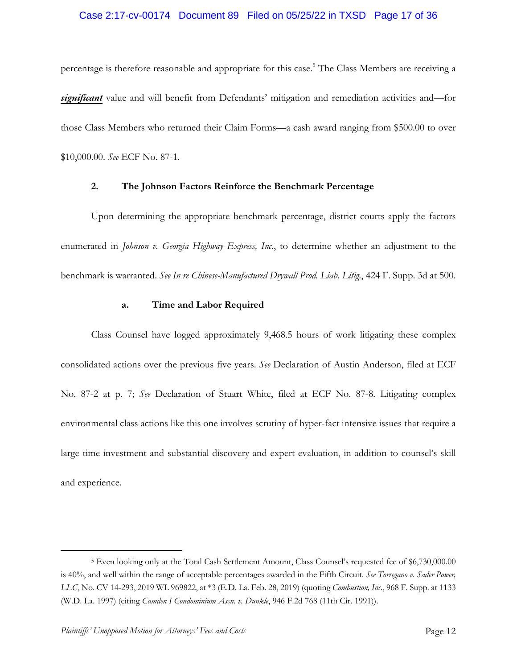## Case 2:17-cv-00174 Document 89 Filed on 05/25/22 in TXSD Page 17 of 36

percentage is therefore reasonable and appropriate for this case.<sup>5</sup> The Class Members are receiving a *significant* value and will benefit from Defendants' mitigation and remediation activities and—for those Class Members who returned their Claim Forms—a cash award ranging from \$500.00 to over \$10,000.00. *See* ECF No. 87-1.

## **2. The Johnson Factors Reinforce the Benchmark Percentage**

Upon determining the appropriate benchmark percentage, district courts apply the factors enumerated in *Johnson v. Georgia Highway Express, Inc.*, to determine whether an adjustment to the benchmark is warranted. *See In re Chinese-Manufactured Drywall Prod. Liab. Litig*., 424 F. Supp. 3d at 500.

#### **a. Time and Labor Required**

Class Counsel have logged approximately 9,468.5 hours of work litigating these complex consolidated actions over the previous five years. *See* Declaration of Austin Anderson, filed at ECF No. 87-2 at p. 7; *See* Declaration of Stuart White, filed at ECF No. 87-8. Litigating complex environmental class actions like this one involves scrutiny of hyper-fact intensive issues that require a large time investment and substantial discovery and expert evaluation, in addition to counsel's skill and experience.

<sup>5</sup> Even looking only at the Total Cash Settlement Amount, Class Counsel's requested fee of \$6,730,000.00 is 40%, and well within the range of acceptable percentages awarded in the Fifth Circuit. *See Torregano v. Sader Power, LLC*, No. CV 14-293, 2019 WL 969822, at \*3 (E.D. La. Feb. 28, 2019) (quoting *Combustion, Inc*., 968 F. Supp. at 1133 (W.D. La. 1997) (citing *Camden I Condominium Assn. v. Dunkle*, 946 F.2d 768 (11th Cir. 1991)).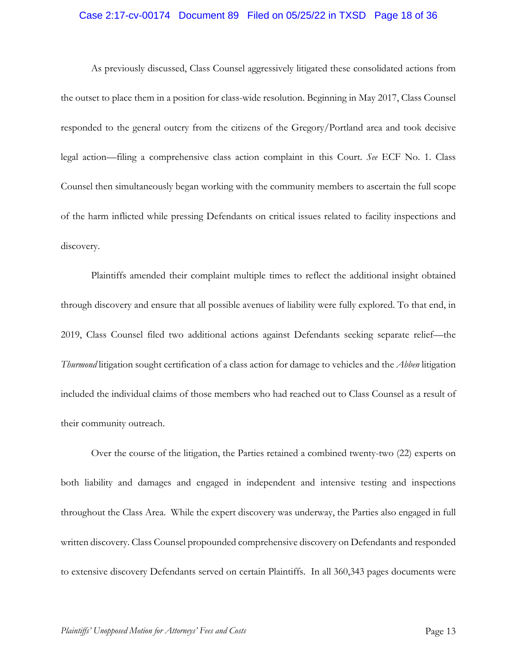## Case 2:17-cv-00174 Document 89 Filed on 05/25/22 in TXSD Page 18 of 36

As previously discussed, Class Counsel aggressively litigated these consolidated actions from the outset to place them in a position for class-wide resolution. Beginning in May 2017, Class Counsel responded to the general outcry from the citizens of the Gregory/Portland area and took decisive legal action—filing a comprehensive class action complaint in this Court. *See* ECF No. 1. Class Counsel then simultaneously began working with the community members to ascertain the full scope of the harm inflicted while pressing Defendants on critical issues related to facility inspections and discovery.

Plaintiffs amended their complaint multiple times to reflect the additional insight obtained through discovery and ensure that all possible avenues of liability were fully explored. To that end, in 2019, Class Counsel filed two additional actions against Defendants seeking separate relief—the *Thurmond* litigation sought certification of a class action for damage to vehicles and the *Abben* litigation included the individual claims of those members who had reached out to Class Counsel as a result of their community outreach.

Over the course of the litigation, the Parties retained a combined twenty-two (22) experts on both liability and damages and engaged in independent and intensive testing and inspections throughout the Class Area. While the expert discovery was underway, the Parties also engaged in full written discovery. Class Counsel propounded comprehensive discovery on Defendants and responded to extensive discovery Defendants served on certain Plaintiffs. In all 360,343 pages documents were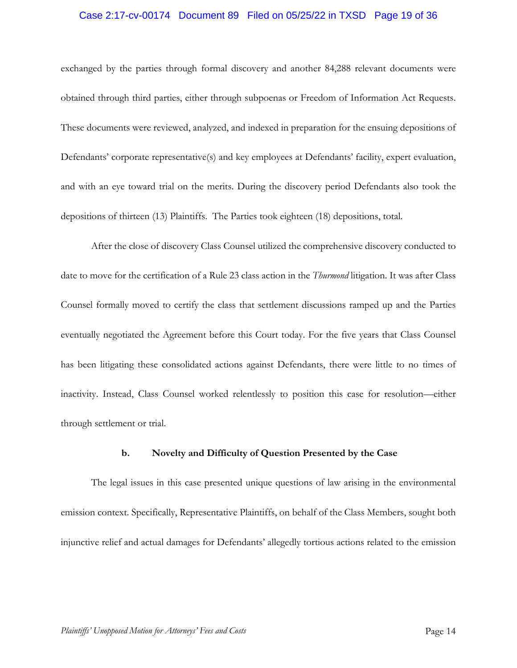## Case 2:17-cv-00174 Document 89 Filed on 05/25/22 in TXSD Page 19 of 36

exchanged by the parties through formal discovery and another 84,288 relevant documents were obtained through third parties, either through subpoenas or Freedom of Information Act Requests. These documents were reviewed, analyzed, and indexed in preparation for the ensuing depositions of Defendants' corporate representative(s) and key employees at Defendants' facility, expert evaluation, and with an eye toward trial on the merits. During the discovery period Defendants also took the depositions of thirteen (13) Plaintiffs. The Parties took eighteen (18) depositions, total.

After the close of discovery Class Counsel utilized the comprehensive discovery conducted to date to move for the certification of a Rule 23 class action in the *Thurmond* litigation. It was after Class Counsel formally moved to certify the class that settlement discussions ramped up and the Parties eventually negotiated the Agreement before this Court today. For the five years that Class Counsel has been litigating these consolidated actions against Defendants, there were little to no times of inactivity. Instead, Class Counsel worked relentlessly to position this case for resolution—either through settlement or trial.

#### **b. Novelty and Difficulty of Question Presented by the Case**

The legal issues in this case presented unique questions of law arising in the environmental emission context. Specifically, Representative Plaintiffs, on behalf of the Class Members, sought both injunctive relief and actual damages for Defendants' allegedly tortious actions related to the emission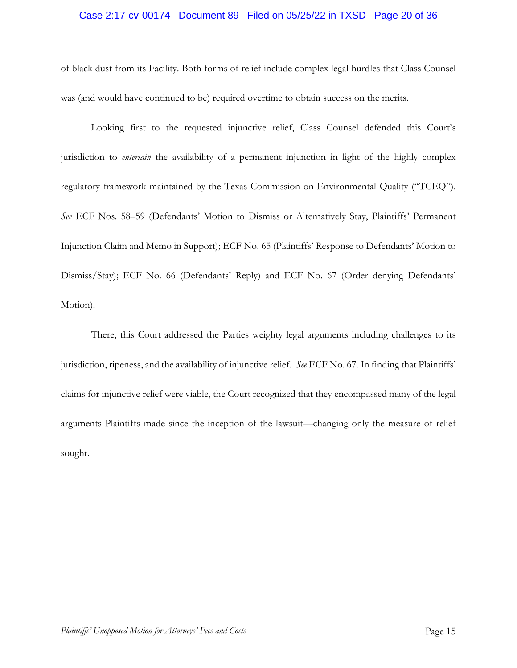## Case 2:17-cv-00174 Document 89 Filed on 05/25/22 in TXSD Page 20 of 36

of black dust from its Facility. Both forms of relief include complex legal hurdles that Class Counsel was (and would have continued to be) required overtime to obtain success on the merits.

Looking first to the requested injunctive relief, Class Counsel defended this Court's jurisdiction to *entertain* the availability of a permanent injunction in light of the highly complex regulatory framework maintained by the Texas Commission on Environmental Quality ("TCEQ"). *See* ECF Nos. 58–59 (Defendants' Motion to Dismiss or Alternatively Stay, Plaintiffs' Permanent Injunction Claim and Memo in Support); ECF No. 65 (Plaintiffs' Response to Defendants' Motion to Dismiss/Stay); ECF No. 66 (Defendants' Reply) and ECF No. 67 (Order denying Defendants' Motion).

There, this Court addressed the Parties weighty legal arguments including challenges to its jurisdiction, ripeness, and the availability of injunctive relief. *See* ECF No. 67. In finding that Plaintiffs' claims for injunctive relief were viable, the Court recognized that they encompassed many of the legal arguments Plaintiffs made since the inception of the lawsuit—changing only the measure of relief sought.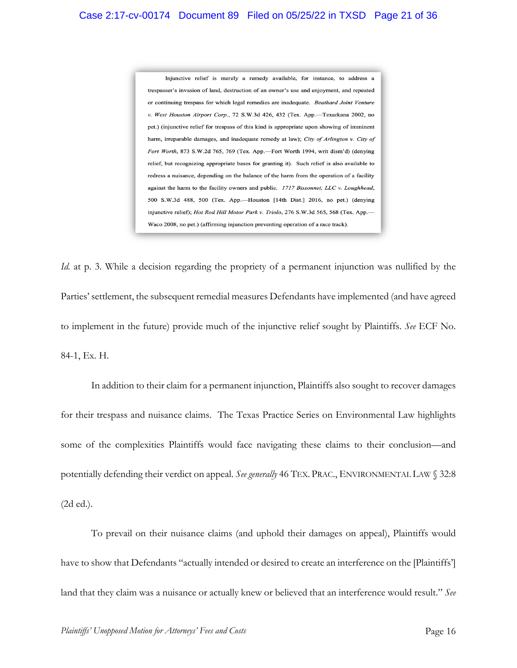Injunctive relief is merely a remedy available, for instance, to address a trespasser's invasion of land, destruction of an owner's use and enjoyment, and repeated or continuing trespass for which legal remedies are inadequate. Beathard Joint Venture v. West Houston Airport Corp., 72 S.W.3d 426, 432 (Tex. App.-Texarkana 2002, no pet.) (injunctive relief for trespass of this kind is appropriate upon showing of imminent harm, irreparable damages, and inadequate remedy at law); City of Arlington v. City of Fort Worth, 873 S.W.2d 765, 769 (Tex. App.-Fort Worth 1994, writ dism'd) (denying relief, but recognizing appropriate bases for granting it). Such relief is also available to redress a nuisance, depending on the balance of the harm from the operation of a facility against the harm to the facility owners and public. 1717 Bissonnet, LLC v. Loughhead, 500 S.W.3d 488, 500 (Tex. App.--Houston [14th Dist.] 2016, no pet.) (denying injunctive relief); Hot Rod Hill Motor Park v. Triolo, 276 S.W.3d 565, 568 (Tex. App.-Waco 2008, no pet.) (affirming injunction preventing operation of a race track).

*Id.* at p. 3. While a decision regarding the propriety of a permanent injunction was nullified by the Parties' settlement, the subsequent remedial measures Defendants have implemented (and have agreed to implement in the future) provide much of the injunctive relief sought by Plaintiffs. *See* ECF No. 84-1, Ex. H.

In addition to their claim for a permanent injunction, Plaintiffs also sought to recover damages for their trespass and nuisance claims. The Texas Practice Series on Environmental Law highlights some of the complexities Plaintiffs would face navigating these claims to their conclusion—and potentially defending their verdict on appeal. *See generally* 46 TEX. PRAC., ENVIRONMENTAL LAW § 32:8 (2d ed.).

To prevail on their nuisance claims (and uphold their damages on appeal), Plaintiffs would have to show that Defendants "actually intended or desired to create an interference on the [Plaintiffs'] land that they claim was a nuisance or actually knew or believed that an interference would result." *See*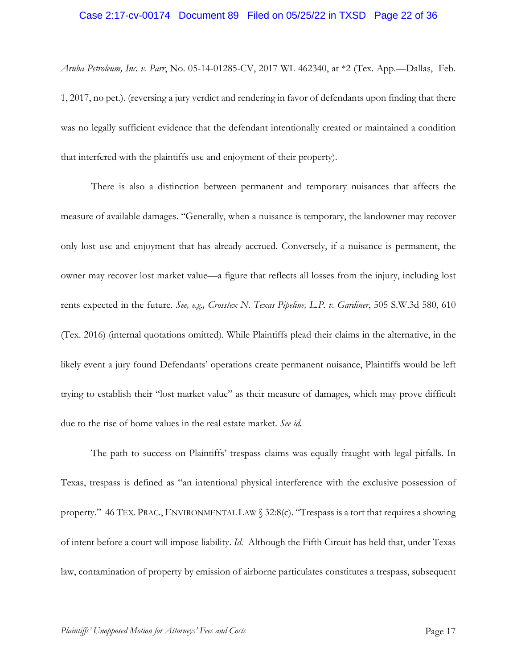## Case 2:17-cv-00174 Document 89 Filed on 05/25/22 in TXSD Page 22 of 36

*Aruba Petroleum, Inc. v. Parr*, No. 05-14-01285-CV, 2017 WL 462340, at \*2 (Tex. App.—Dallas, Feb. 1, 2017, no pet.). (reversing a jury verdict and rendering in favor of defendants upon finding that there was no legally sufficient evidence that the defendant intentionally created or maintained a condition that interfered with the plaintiffs use and enjoyment of their property).

There is also a distinction between permanent and temporary nuisances that affects the measure of available damages. "Generally, when a nuisance is temporary, the landowner may recover only lost use and enjoyment that has already accrued. Conversely, if a nuisance is permanent, the owner may recover lost market value—a figure that reflects all losses from the injury, including lost rents expected in the future. *See, e.g., Crosstex N. Texas Pipeline, L.P. v. Gardiner*, 505 S.W.3d 580, 610 (Tex. 2016) (internal quotations omitted). While Plaintiffs plead their claims in the alternative, in the likely event a jury found Defendants' operations create permanent nuisance, Plaintiffs would be left trying to establish their "lost market value" as their measure of damages, which may prove difficult due to the rise of home values in the real estate market. *See id.*

The path to success on Plaintiffs' trespass claims was equally fraught with legal pitfalls. In Texas, trespass is defined as "an intentional physical interference with the exclusive possession of property." 46 TEX. PRAC., ENVIRONMENTAL LAW § 32:8(c). "Trespass is a tort that requires a showing of intent before a court will impose liability. *Id.* Although the Fifth Circuit has held that, under Texas law, contamination of property by emission of airborne particulates constitutes a trespass, subsequent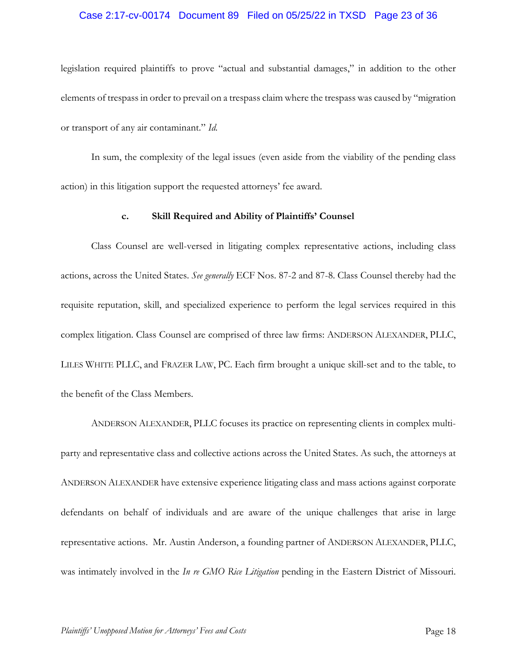## Case 2:17-cv-00174 Document 89 Filed on 05/25/22 in TXSD Page 23 of 36

legislation required plaintiffs to prove "actual and substantial damages," in addition to the other elements of trespass in order to prevail on a trespass claim where the trespass was caused by "migration or transport of any air contaminant." *Id.* 

In sum, the complexity of the legal issues (even aside from the viability of the pending class action) in this litigation support the requested attorneys' fee award.

#### **c. Skill Required and Ability of Plaintiffs' Counsel**

Class Counsel are well-versed in litigating complex representative actions, including class actions, across the United States. *See generally* ECF Nos. 87-2 and 87-8. Class Counsel thereby had the requisite reputation, skill, and specialized experience to perform the legal services required in this complex litigation. Class Counsel are comprised of three law firms: ANDERSON ALEXANDER, PLLC, LILES WHITE PLLC, and FRAZER LAW, PC. Each firm brought a unique skill-set and to the table, to the benefit of the Class Members.

ANDERSON ALEXANDER, PLLC focuses its practice on representing clients in complex multiparty and representative class and collective actions across the United States. As such, the attorneys at ANDERSON ALEXANDER have extensive experience litigating class and mass actions against corporate defendants on behalf of individuals and are aware of the unique challenges that arise in large representative actions. Mr. Austin Anderson, a founding partner of ANDERSON ALEXANDER, PLLC, was intimately involved in the *In re GMO Rice Litigation* pending in the Eastern District of Missouri.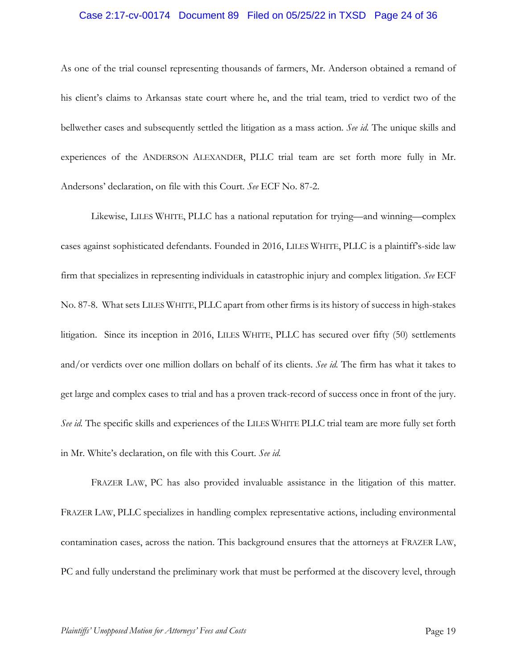## Case 2:17-cv-00174 Document 89 Filed on 05/25/22 in TXSD Page 24 of 36

As one of the trial counsel representing thousands of farmers, Mr. Anderson obtained a remand of his client's claims to Arkansas state court where he, and the trial team, tried to verdict two of the bellwether cases and subsequently settled the litigation as a mass action. *See id.* The unique skills and experiences of the ANDERSON ALEXANDER, PLLC trial team are set forth more fully in Mr. Andersons' declaration, on file with this Court. *See* ECF No. 87-2.

Likewise, LILES WHITE, PLLC has a national reputation for trying—and winning—complex cases against sophisticated defendants. Founded in 2016, LILES WHITE, PLLC is a plaintiff's-side law firm that specializes in representing individuals in catastrophic injury and complex litigation. *See* ECF No. 87-8. What sets LILES WHITE, PLLC apart from other firms is its history of success in high-stakes litigation. Since its inception in 2016, LILES WHITE, PLLC has secured over fifty (50) settlements and/or verdicts over one million dollars on behalf of its clients. *See id.* The firm has what it takes to get large and complex cases to trial and has a proven track-record of success once in front of the jury. *See id.* The specific skills and experiences of the LILES WHITE PLLC trial team are more fully set forth in Mr. White's declaration, on file with this Court. *See id.* 

FRAZER LAW, PC has also provided invaluable assistance in the litigation of this matter. FRAZER LAW, PLLC specializes in handling complex representative actions, including environmental contamination cases, across the nation. This background ensures that the attorneys at FRAZER LAW, PC and fully understand the preliminary work that must be performed at the discovery level, through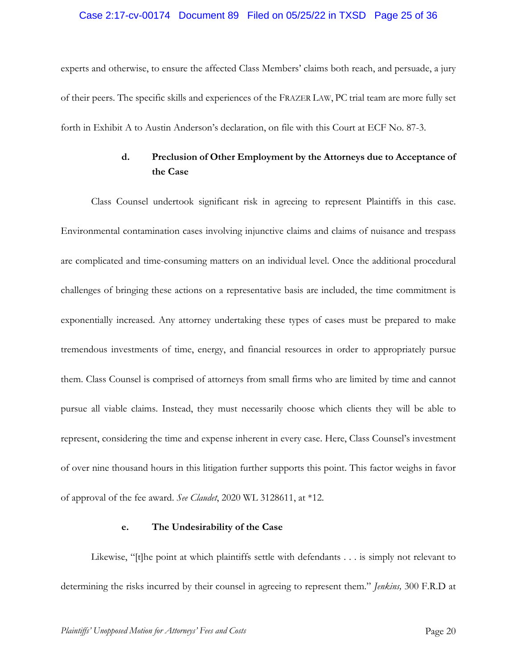## Case 2:17-cv-00174 Document 89 Filed on 05/25/22 in TXSD Page 25 of 36

experts and otherwise, to ensure the affected Class Members' claims both reach, and persuade, a jury of their peers. The specific skills and experiences of the FRAZER LAW, PC trial team are more fully set forth in Exhibit A to Austin Anderson's declaration, on file with this Court at ECF No. 87-3.

# **d. Preclusion of Other Employment by the Attorneys due to Acceptance of the Case**

Class Counsel undertook significant risk in agreeing to represent Plaintiffs in this case. Environmental contamination cases involving injunctive claims and claims of nuisance and trespass are complicated and time-consuming matters on an individual level. Once the additional procedural challenges of bringing these actions on a representative basis are included, the time commitment is exponentially increased. Any attorney undertaking these types of cases must be prepared to make tremendous investments of time, energy, and financial resources in order to appropriately pursue them. Class Counsel is comprised of attorneys from small firms who are limited by time and cannot pursue all viable claims. Instead, they must necessarily choose which clients they will be able to represent, considering the time and expense inherent in every case. Here, Class Counsel's investment of over nine thousand hours in this litigation further supports this point. This factor weighs in favor of approval of the fee award. *See Claudet*, 2020 WL 3128611, at \*12.

### **e. The Undesirability of the Case**

Likewise, "[t]he point at which plaintiffs settle with defendants . . . is simply not relevant to determining the risks incurred by their counsel in agreeing to represent them." *Jenkins,* 300 F.R.D at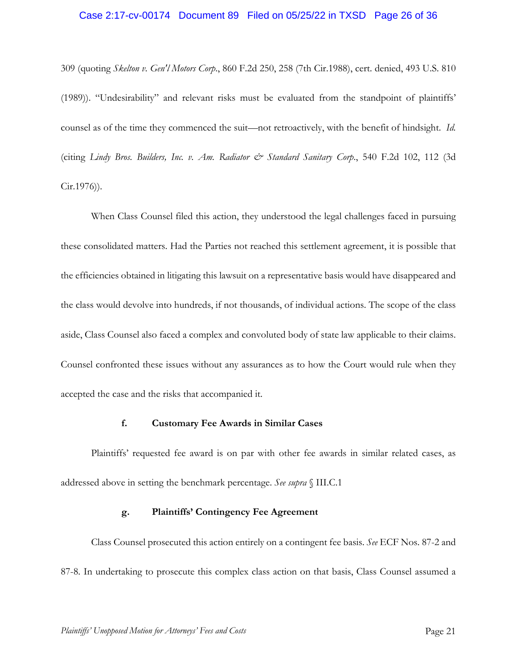## Case 2:17-cv-00174 Document 89 Filed on 05/25/22 in TXSD Page 26 of 36

309 (quoting *Skelton v. Gen'l Motors Corp*., 860 F.2d 250, 258 (7th Cir.1988), cert. denied, 493 U.S. 810 (1989)). "Undesirability" and relevant risks must be evaluated from the standpoint of plaintiffs' counsel as of the time they commenced the suit—not retroactively, with the benefit of hindsight. *Id.*  (citing *Lindy Bros. Builders, Inc. v. Am. Radiator & Standard Sanitary Corp*., 540 F.2d 102, 112 (3d Cir.1976)).

When Class Counsel filed this action, they understood the legal challenges faced in pursuing these consolidated matters. Had the Parties not reached this settlement agreement, it is possible that the efficiencies obtained in litigating this lawsuit on a representative basis would have disappeared and the class would devolve into hundreds, if not thousands, of individual actions. The scope of the class aside, Class Counsel also faced a complex and convoluted body of state law applicable to their claims. Counsel confronted these issues without any assurances as to how the Court would rule when they accepted the case and the risks that accompanied it.

#### **f. Customary Fee Awards in Similar Cases**

Plaintiffs' requested fee award is on par with other fee awards in similar related cases, as addressed above in setting the benchmark percentage. *See supra* § III.C.1

## **g. Plaintiffs' Contingency Fee Agreement**

Class Counsel prosecuted this action entirely on a contingent fee basis. *See* ECF Nos. 87-2 and 87-8. In undertaking to prosecute this complex class action on that basis, Class Counsel assumed a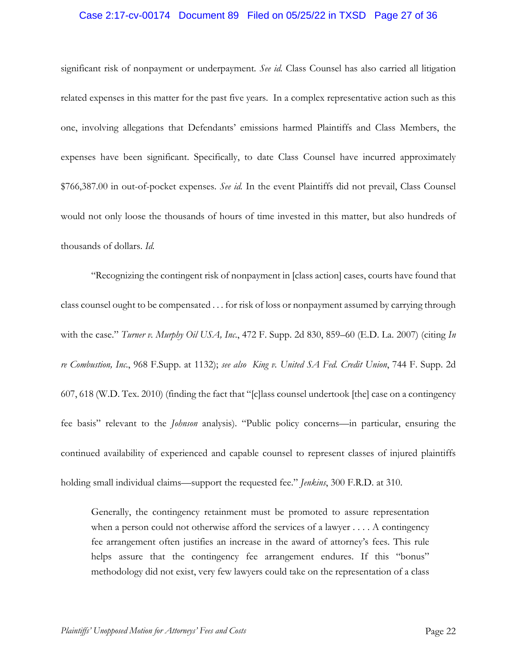## Case 2:17-cv-00174 Document 89 Filed on 05/25/22 in TXSD Page 27 of 36

significant risk of nonpayment or underpayment*. See id.* Class Counsel has also carried all litigation related expenses in this matter for the past five years. In a complex representative action such as this one, involving allegations that Defendants' emissions harmed Plaintiffs and Class Members, the expenses have been significant. Specifically, to date Class Counsel have incurred approximately \$766,387.00 in out-of-pocket expenses. *See id.* In the event Plaintiffs did not prevail, Class Counsel would not only loose the thousands of hours of time invested in this matter, but also hundreds of thousands of dollars. *Id.* 

"Recognizing the contingent risk of nonpayment in [class action] cases, courts have found that class counsel ought to be compensated . . . for risk of loss or nonpayment assumed by carrying through with the case." *Turner v. Murphy Oil USA, Inc*., 472 F. Supp. 2d 830, 859–60 (E.D. La. 2007) (citing *In re Combustion, Inc*., 968 F.Supp. at 1132); *see also King v. United SA Fed. Credit Union*, 744 F. Supp. 2d 607, 618 (W.D. Tex. 2010) (finding the fact that "[c]lass counsel undertook [the] case on a contingency fee basis" relevant to the *Johnson* analysis). "Public policy concerns—in particular, ensuring the continued availability of experienced and capable counsel to represent classes of injured plaintiffs holding small individual claims—support the requested fee." *Jenkins*, 300 F.R.D. at 310.

Generally, the contingency retainment must be promoted to assure representation when a person could not otherwise afford the services of a lawyer . . . . A contingency fee arrangement often justifies an increase in the award of attorney's fees. This rule helps assure that the contingency fee arrangement endures. If this "bonus" methodology did not exist, very few lawyers could take on the representation of a class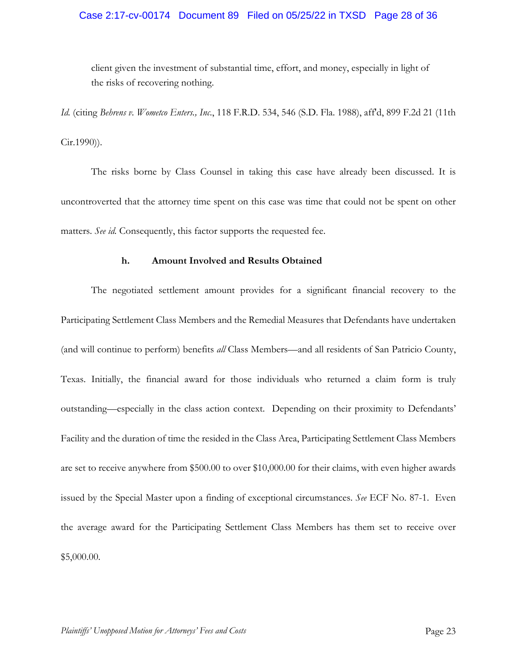## Case 2:17-cv-00174 Document 89 Filed on 05/25/22 in TXSD Page 28 of 36

client given the investment of substantial time, effort, and money, especially in light of the risks of recovering nothing.

*Id.* (citing *Behrens v. Wometco Enters., Inc*., 118 F.R.D. 534, 546 (S.D. Fla. 1988), aff'd, 899 F.2d 21 (11th Cir.1990)).

The risks borne by Class Counsel in taking this case have already been discussed. It is uncontroverted that the attorney time spent on this case was time that could not be spent on other matters. *See id.* Consequently, this factor supports the requested fee.

## **h. Amount Involved and Results Obtained**

The negotiated settlement amount provides for a significant financial recovery to the Participating Settlement Class Members and the Remedial Measures that Defendants have undertaken (and will continue to perform) benefits *all* Class Members—and all residents of San Patricio County, Texas. Initially, the financial award for those individuals who returned a claim form is truly outstanding—especially in the class action context. Depending on their proximity to Defendants' Facility and the duration of time the resided in the Class Area, Participating Settlement Class Members are set to receive anywhere from \$500.00 to over \$10,000.00 for their claims, with even higher awards issued by the Special Master upon a finding of exceptional circumstances. *See* ECF No. 87-1. Even the average award for the Participating Settlement Class Members has them set to receive over \$5,000.00.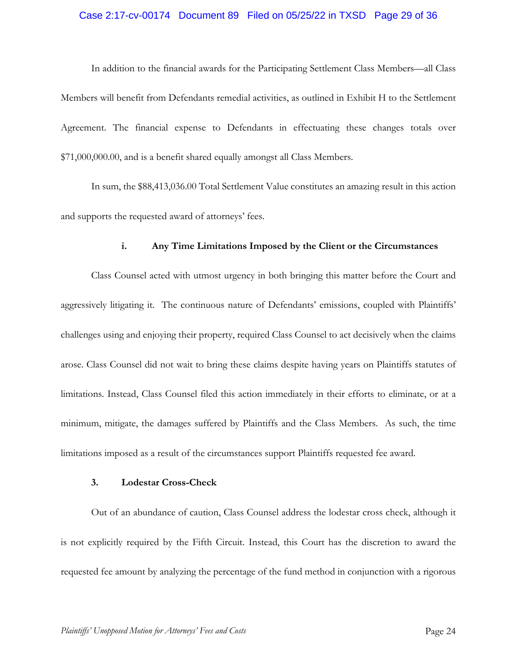## Case 2:17-cv-00174 Document 89 Filed on 05/25/22 in TXSD Page 29 of 36

In addition to the financial awards for the Participating Settlement Class Members—all Class Members will benefit from Defendants remedial activities, as outlined in Exhibit H to the Settlement Agreement. The financial expense to Defendants in effectuating these changes totals over \$71,000,000.00, and is a benefit shared equally amongst all Class Members.

In sum, the \$88,413,036.00 Total Settlement Value constitutes an amazing result in this action and supports the requested award of attorneys' fees.

### **i. Any Time Limitations Imposed by the Client or the Circumstances**

Class Counsel acted with utmost urgency in both bringing this matter before the Court and aggressively litigating it. The continuous nature of Defendants' emissions, coupled with Plaintiffs' challenges using and enjoying their property, required Class Counsel to act decisively when the claims arose. Class Counsel did not wait to bring these claims despite having years on Plaintiffs statutes of limitations. Instead, Class Counsel filed this action immediately in their efforts to eliminate, or at a minimum, mitigate, the damages suffered by Plaintiffs and the Class Members. As such, the time limitations imposed as a result of the circumstances support Plaintiffs requested fee award.

## **3. Lodestar Cross-Check**

Out of an abundance of caution, Class Counsel address the lodestar cross check, although it is not explicitly required by the Fifth Circuit. Instead, this Court has the discretion to award the requested fee amount by analyzing the percentage of the fund method in conjunction with a rigorous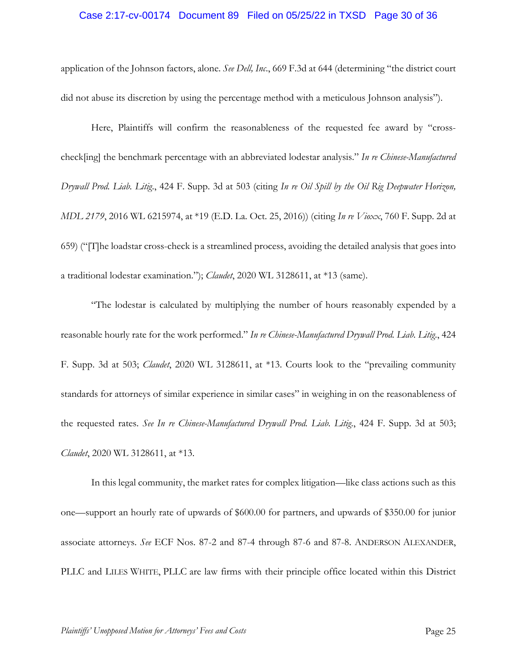## Case 2:17-cv-00174 Document 89 Filed on 05/25/22 in TXSD Page 30 of 36

application of the Johnson factors, alone. *See Dell, Inc*., 669 F.3d at 644 (determining "the district court did not abuse its discretion by using the percentage method with a meticulous Johnson analysis").

Here, Plaintiffs will confirm the reasonableness of the requested fee award by "crosscheck[ing] the benchmark percentage with an abbreviated lodestar analysis." *In re Chinese-Manufactured Drywall Prod. Liab. Litig*., 424 F. Supp. 3d at 503 (citing *In re Oil Spill by the Oil Rig Deepwater Horizon, MDL 2179*, 2016 WL 6215974, at \*19 (E.D. La. Oct. 25, 2016)) (citing *In re Vioxx*, 760 F. Supp. 2d at 659) ("[T]he loadstar cross-check is a streamlined process, avoiding the detailed analysis that goes into a traditional lodestar examination."); *Claudet*, 2020 WL 3128611, at \*13 (same).

"The lodestar is calculated by multiplying the number of hours reasonably expended by a reasonable hourly rate for the work performed." *In re Chinese-Manufactured Drywall Prod. Liab. Litig*., 424 F. Supp. 3d at 503; *Claudet*, 2020 WL 3128611, at \*13. Courts look to the "prevailing community standards for attorneys of similar experience in similar cases" in weighing in on the reasonableness of the requested rates. *See In re Chinese-Manufactured Drywall Prod. Liab. Litig*., 424 F. Supp. 3d at 503; *Claudet*, 2020 WL 3128611, at \*13.

In this legal community, the market rates for complex litigation—like class actions such as this one—support an hourly rate of upwards of \$600.00 for partners, and upwards of \$350.00 for junior associate attorneys. *See* ECF Nos. 87-2 and 87-4 through 87-6 and 87-8. ANDERSON ALEXANDER, PLLC and LILES WHITE, PLLC are law firms with their principle office located within this District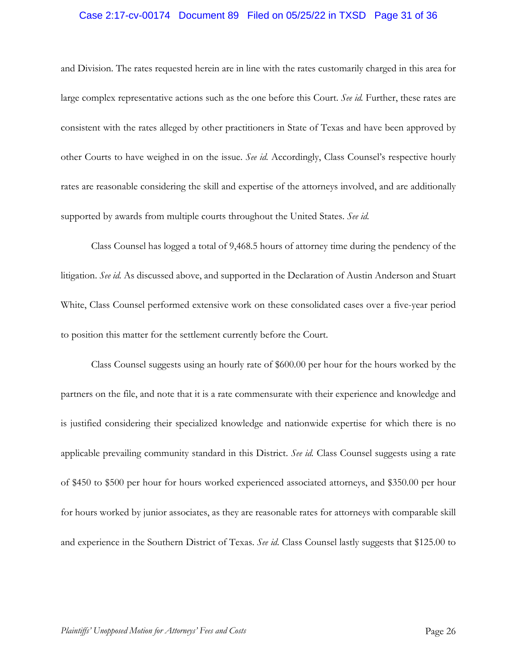## Case 2:17-cv-00174 Document 89 Filed on 05/25/22 in TXSD Page 31 of 36

and Division. The rates requested herein are in line with the rates customarily charged in this area for large complex representative actions such as the one before this Court. *See id.* Further, these rates are consistent with the rates alleged by other practitioners in State of Texas and have been approved by other Courts to have weighed in on the issue. *See id.* Accordingly, Class Counsel's respective hourly rates are reasonable considering the skill and expertise of the attorneys involved, and are additionally supported by awards from multiple courts throughout the United States. *See id.* 

Class Counsel has logged a total of 9,468.5 hours of attorney time during the pendency of the litigation. *See id.* As discussed above, and supported in the Declaration of Austin Anderson and Stuart White, Class Counsel performed extensive work on these consolidated cases over a five-year period to position this matter for the settlement currently before the Court.

Class Counsel suggests using an hourly rate of \$600.00 per hour for the hours worked by the partners on the file, and note that it is a rate commensurate with their experience and knowledge and is justified considering their specialized knowledge and nationwide expertise for which there is no applicable prevailing community standard in this District. *See id.* Class Counsel suggests using a rate of \$450 to \$500 per hour for hours worked experienced associated attorneys, and \$350.00 per hour for hours worked by junior associates, as they are reasonable rates for attorneys with comparable skill and experience in the Southern District of Texas. *See id*. Class Counsel lastly suggests that \$125.00 to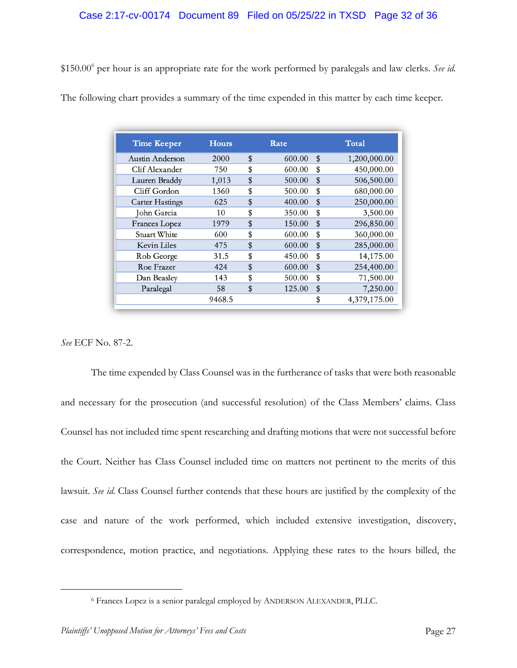\$150.006 per hour is an appropriate rate for the work performed by paralegals and law clerks. *See id.*

| The following chart provides a summary of the time expended in this matter by each time keeper. |
|-------------------------------------------------------------------------------------------------|
|-------------------------------------------------------------------------------------------------|

| <b>Time Keeper</b>     | <b>Hours</b> | Rate         |               | Total        |
|------------------------|--------------|--------------|---------------|--------------|
| Austin Anderson        | 2000         | \$<br>600.00 | $\mathbf{\$}$ | 1,200,000.00 |
| Clif Alexander         | 750          | \$<br>600.00 | \$            | 450,000.00   |
| Lauren Braddy          | 1,013        | \$<br>500.00 | \$            | 506,500.00   |
| Cliff Gordon           | 1360         | \$<br>500.00 | \$            | 680,000.00   |
| <b>Carter Hastings</b> | 625          | \$<br>400.00 | \$            | 250,000.00   |
| John Garcia            | 10           | \$<br>350.00 | \$            | 3,500.00     |
| Frances Lopez          | 1979         | \$<br>150.00 | \$            | 296,850.00   |
| Stuart White           | 600          | \$<br>600.00 | \$            | 360,000.00   |
| Kevin Liles            | 475          | \$<br>600.00 | \$            | 285,000.00   |
| Rob George             | 31.5         | \$<br>450.00 | \$            | 14,175.00    |
| Roe Frazer             | 424          | \$<br>600.00 | \$            | 254,400.00   |
| Dan Beasley            | 143          | \$<br>500.00 | \$            | 71,500.00    |
| Paralegal              | 58           | \$<br>125.00 | \$            | 7,250.00     |
|                        | 9468.5       |              | \$            | 4,379,175.00 |

*See* ECF No. 87-2.

The time expended by Class Counsel was in the furtherance of tasks that were both reasonable and necessary for the prosecution (and successful resolution) of the Class Members' claims. Class Counsel has not included time spent researching and drafting motions that were not successful before the Court. Neither has Class Counsel included time on matters not pertinent to the merits of this lawsuit. *See id.* Class Counsel further contends that these hours are justified by the complexity of the case and nature of the work performed, which included extensive investigation, discovery, correspondence, motion practice, and negotiations. Applying these rates to the hours billed, the

<sup>6</sup> Frances Lopez is a senior paralegal employed by ANDERSON ALEXANDER, PLLC.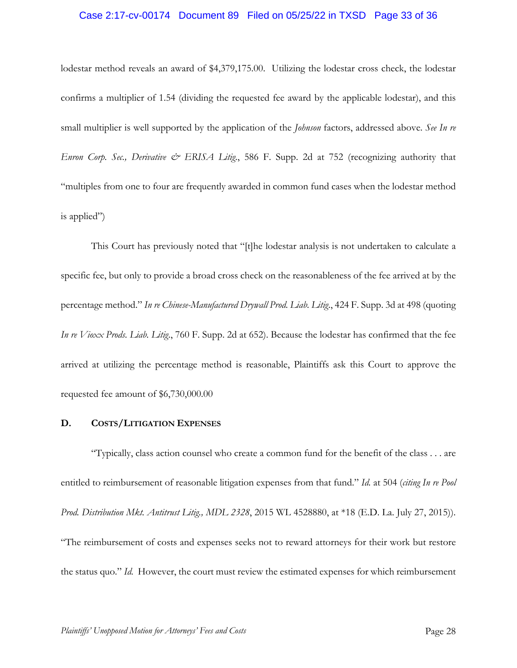## Case 2:17-cv-00174 Document 89 Filed on 05/25/22 in TXSD Page 33 of 36

lodestar method reveals an award of \$4,379,175.00. Utilizing the lodestar cross check, the lodestar confirms a multiplier of 1.54 (dividing the requested fee award by the applicable lodestar), and this small multiplier is well supported by the application of the *Johnson* factors, addressed above. *See In re Enron Corp. Sec., Derivative & ERISA Litig*., 586 F. Supp. 2d at 752 (recognizing authority that "multiples from one to four are frequently awarded in common fund cases when the lodestar method is applied")

This Court has previously noted that "[t]he lodestar analysis is not undertaken to calculate a specific fee, but only to provide a broad cross check on the reasonableness of the fee arrived at by the percentage method." *In re Chinese-Manufactured Drywall Prod. Liab. Litig*., 424 F. Supp. 3d at 498 (quoting *In re Vioxx Prods. Liab. Litig*., 760 F. Supp. 2d at 652). Because the lodestar has confirmed that the fee arrived at utilizing the percentage method is reasonable, Plaintiffs ask this Court to approve the requested fee amount of \$6,730,000.00

## **D. COSTS/LITIGATION EXPENSES**

"Typically, class action counsel who create a common fund for the benefit of the class . . . are entitled to reimbursement of reasonable litigation expenses from that fund." *Id.* at 504 (*citing In re Pool Prod. Distribution Mkt. Antitrust Litig., MDL 2328*, 2015 WL 4528880, at \*18 (E.D. La. July 27, 2015)). "The reimbursement of costs and expenses seeks not to reward attorneys for their work but restore the status quo." *Id.* However, the court must review the estimated expenses for which reimbursement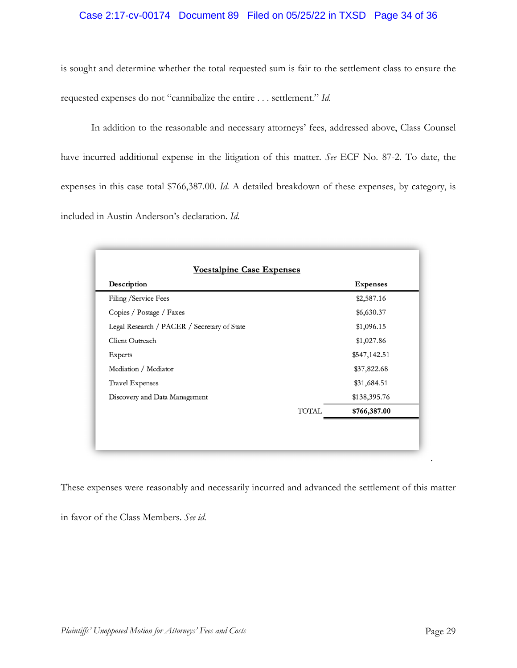## Case 2:17-cv-00174 Document 89 Filed on 05/25/22 in TXSD Page 34 of 36

is sought and determine whether the total requested sum is fair to the settlement class to ensure the requested expenses do not "cannibalize the entire . . . settlement." *Id.*

In addition to the reasonable and necessary attorneys' fees, addressed above, Class Counsel have incurred additional expense in the litigation of this matter. *See* ECF No. 87-2. To date, the expenses in this case total \$766,387.00. *Id.* A detailed breakdown of these expenses, by category, is included in Austin Anderson's declaration. *Id.* 

| Description                                 | <b>Expenses</b> |
|---------------------------------------------|-----------------|
| Filing / Service Fees                       | \$2,587.16      |
| Copies / Postage / Faxes                    | \$6,630.37      |
| Legal Research / PACER / Secretary of State | \$1,096.15      |
| Client Outreach                             | \$1,027.86      |
| Experts                                     | \$547,142.51    |
| Mediation / Mediator                        | \$37,822.68     |
| <b>Travel Expenses</b>                      | \$31,684.51     |
| Discovery and Data Management               | \$138,395.76    |
| <b>TOTAL</b>                                | \$766,387.00    |

These expenses were reasonably and necessarily incurred and advanced the settlement of this matter

in favor of the Class Members. *See id.*

.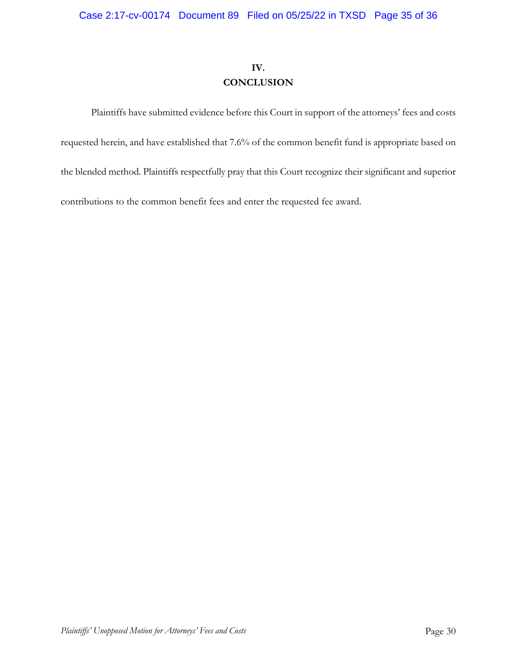# **IV. CONCLUSION**

Plaintiffs have submitted evidence before this Court in support of the attorneys' fees and costs requested herein, and have established that 7.6% of the common benefit fund is appropriate based on the blended method. Plaintiffs respectfully pray that this Court recognize their significant and superior contributions to the common benefit fees and enter the requested fee award.